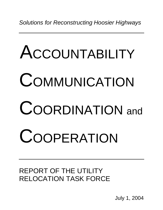*Solutions for Reconstructing Hoosier Highways* 

# ACCOUNTABILITY COMMUNICATION COORDINATION and **COOPERATION**

REPORT OF THE UTILITY RELOCATION TASK FORCE

July 1, 2004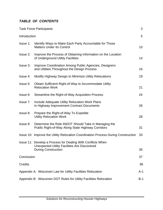# *TABLE OF CONTENTS*

| <b>Task Force Participants</b>                                    |                                                                                                                    | 3   |
|-------------------------------------------------------------------|--------------------------------------------------------------------------------------------------------------------|-----|
| Introduction                                                      |                                                                                                                    | 5   |
| Issue 1:                                                          | Identify Ways to Make Each Party Accountable for Those<br><b>Matters Under Its Control</b>                         | 10  |
| Issue 2:                                                          | Improve the Process of Obtaining Information on the Location<br>of Underground Utility Facilities                  | 14  |
| Issue 3:                                                          | Improve Coordination Among Public Agencies, Designers<br>and Utilities Throughout the Design Process               | 16  |
| Issue 4:                                                          | Modify Highway Design to Minimize Utility Relocations                                                              | 19  |
| Issue 5:                                                          | Obtain Sufficient Right-of-Way to Accommodate Utility<br><b>Relocation Work</b>                                    | 21  |
| Issue 6:                                                          | Streamline the Right-of-Way Acquisition Process                                                                    | 24  |
| Issue 7:                                                          | Include Adequate Utility Relocation Work Plans<br>in Highway Improvement Contract Documents                        | 26  |
| Issue 8:                                                          | Prepare the Right-of-Way To Expedite<br><b>Utility Relocation Work</b>                                             | 28  |
| Issue 9:                                                          | Determine the Role INDOT Should Take in Managing the<br>Public Right-of-Way Along State Highway Corridors          | 31  |
|                                                                   | Issue 10: Improve the Utility Relocation Coordination Process During Construction                                  | 33  |
|                                                                   | Issue 11: Develop a Process for Dealing With Conflicts When<br><b>Unexpected Utility Facilities Are Discovered</b> |     |
|                                                                   | <b>During Construction</b>                                                                                         | 35  |
| Conclusion                                                        |                                                                                                                    | 37  |
| Credits                                                           |                                                                                                                    | 38  |
|                                                                   | Appendix A: Wisconsin Law for Utility Facilities Relocation                                                        | A-1 |
| Appendix B: Wisconsin DOT Rules for Utility Facilities Relocation |                                                                                                                    | B-1 |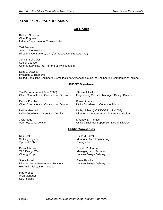# *TASK FORCE PARTICIPANTS*

# **Co-Chairs**

Richard Smutzer Chief Engineer Indiana Department of Transportation

Ted Brunner Senior Vice President Milestone Contractors, L.P. (for Indiana Constructors, Inc.)

John B. Scheidler Senior Counsel Cinergy Services, Inc. (for the utility industries)

Kent D. Downey President & Treasurer United Consulting Engineers & Architects (for American Council of Engineering Companies of Indiana)

## **INDOT Members**

Tim Bertram (retired June 2003) Steven J. Hull

Chief, Contracts and Construction Division Engineering Services Manager, Design Division

Dennis Kuchler **Frank Litherland** Chief, Contracts and Construction Division Utility Coordinator, Vincennes District

LaVon Marshall **Kathy Noland (left INDOT in mid-2004)** Kathy Noland (left INDOT in mid-2004)

Utility Coordinator, Greenfield District Director, Communications & State Legislation

Jack Riggs **Matthew L. Thomas** 

Attorney, Legal Division Utilities Engineer Supervisor, Design Division

## **Utility Companies**

Rex Beck **Richard Harrell** Tipmont REMC **Cinergy Corp.** 

Steve Powell **Steve Rawlinson** Director, Local Government Relations/ Vectren Energy Delivery, Inc. External Affairs, SBC Indiana

Mag Webber Area Manager SBC Indiana

Staking Engineer Manager, Area Engineering

Kevin Johnston **Ronald M. Jourdan** T&D Design West **Manager**, Land Services Cinergy Corp. Vectren Energy Delivery, Inc.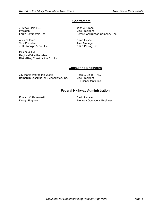# **Contractors**

J. Steve Blair, P.E. **John A. Crone** President Vice President

Alvin C. Evans **David Heyde** Vice President **Area Manager** Area Manager J. H. Rudolph & Co., Inc. E & B Paving, Inc.

Dick Sprinkel Regional Vice President Rieth-Riley Construction Co., Inc.

Feutz Contractors, Inc. The Berns Construction Company, Inc.

## **Consulting Engineers**

Jay Marks (retired mid 2004) Ross E. Snider, P.E. Bernardin Lochmueller & Associates, Inc. Vice President

USI Consultants, Inc.

# **Federal Highway Administration**

Edward K. Ratulowski David Unkefer

Design Engineer **Program Operations Engineer** Program Operations Engineer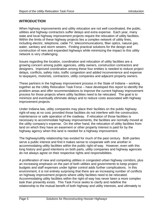# *INTRODUCTION*

When highway improvements and utility relocation are not well coordinated, the public, utilities and highway contractors suffer delays and extra expense. Each year, many state and local highway improvement projects require the relocation of utility facilities. Within the limits of these highway projects lies a complex network of utility lines, including electric, telephone, cable TV, telecommunications, fiber optics, natural gas, water, sanitary and storm sewers. Finding practical solutions for the design and construction of new and expanded highways while minimizing the impact to this utility network is very challenging.

Issues regarding the location, coordination and relocation of utility facilities are a growing concern among public agencies, utility owners, construction contractors and designers. Improved coordination among these four entities is needed to reduce project delays, conflicts, safety risks, traffic congestion and added inconvenience and expense to taxpayers, motorists, contractors, utility companies and adjacent property owners.

These partners in the highway improvement process in the State of Indiana – working together as the Utility Relocation Task Force – have developed this report to identify the problem areas and offer recommendations to improve the current highway improvement process for those projects where utility facilities need to be relocated. The goal is to minimize and eventually eliminate delays and to reduce costs associated with highway improvement projects.

Under Indiana law, utility companies may place their facilities on the public highway right-of-way at no cost, provided those facilities do not interfere with the construction, maintenance or safe operation of the roadway. If relocation of those facilities is necessary to accommodate highway improvements, the facilities are normally moved at the utility company's expense. On the other hand, the relocation of utility facilities from land on which they have an easement or other property interest is paid for by the highway agency when this land is needed for a highway improvement.

The highway/utility relationship has existed for much of the past century. Both parties serve a public interest and find it makes sense to cooperate with one another in accommodating utility facilities within the public right-of-way. However, even with this long history and good intentions on both parts, utility companies and highway agencies do not always agree on their respective rights and responsibilities.

A proliferation of new and competing utilities in congested urban highway corridors, plus an increasing emphasis on the part of both utilities and governments to keep project budgets and staff expenses under tighter control adds further complications. In this environment, it is not entirely surprising that there are an increasing number of conflicts on highway improvement projects where utility facilities need to be relocated. Accommodating utility facilities within the right-of-way has never been a more complex task than presently exists. This Task Force seeks to clarify and redefine the relationship to the mutual benefit of both highway and utility interests, and ultimately to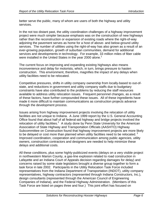better serve the public, many of whom are users of both the highway and utility services.

In the not too distant past, the utility coordination challenges of a highway improvement project were much simpler because emphasis was on the construction of new highways rather than the reconstruction or expansion of existing roads where the right-of-way adjoining the pavement serves as home for a host of above- and below-ground utility services. The number of utilities using the right-of-way has also grown as a result of an ever-growing population, growth of suburban communities, demand for additional services and developments in technology. For example, 33 million miles of fiber cable were installed in the United States in the year 2000 alone.<sup>1</sup>

The current focus on improving and expanding existing highways also means inconvenience and delay for motorists, which, in turn, brings pressure to hasten construction. This environment, therefore, magnifies the impact of any delays when utility facilities need to be relocated.

Competitive pressures, shifts in utility company ownership from locally-based to out-ofstate, and reductions in government and utility company staffs due to budgetary constraints have also contributed to the problems by reducing the staff resources available to address utility relocation issues. Frequent personnel changes, as a result of these factors, have further compounded these issues. All of these ingredients have made it more difficult to maintain communications as construction projects advance through the development process.

Issues arising from highway improvement projects involving the relocation of utility facilities are not unique to Indiana. A June 1999 report by the U.S. General Accounting Office found that about half of all federal-aid highway and bridge projects involved the relocation of utility facilities.<sup>2</sup> A study done by Penn State University for the American Association of State Highway and Transportation Officials (AASHTO) Highway Subcommittee on Construction found that highway improvement projects are more likely to be delayed or cost more than planned when utility facilities need to be relocated.  $3$ Improved coordination, cooperation and communication among public agencies, utility owners, construction contractors and designers are needed to help minimize these delays and additional costs.

All these conditions, plus some highly-publicized events (delays on a very visible project in northwestern Marion County, a gas-line explosion related to road construction in Lafayette and an Indiana Court of Appeals decision regarding damages for delay) and concerns raised by some state legislators brought a diverse group together to form a task force in late 2002. Participants in the Utility Relocation Task Force included representatives from the Indiana Department of Transportation (INDOT), utility company representatives, highway contractors (represented through Indiana Constructors, Inc.), design consultants (represented through the American Council of Engineering Companies of Indiana), and the Federal Highway Administration. (Members of this Task Force are listed on pages three and four.) This joint effort has focused on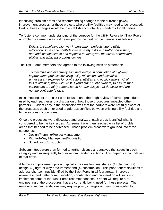identifying problem areas and recommending changes to the current highway improvement process for those projects where utility facilities may need to be relocated. Part of these changes would be to establish accountability standards for all parties.

To foster a common understanding of the purpose for the Utility Relocation Task Force, a problem statement was first developed by the Task Force members as follows:

*Delays in completing highway improvement projects due to utility relocation issues and conflicts create safety risks and traffic congestion, and add inconvenience and expense to taxpayers, motorists, contractors, utilities and adjacent property owners.* 

The Task Force members also agreed to the following mission statement:

*To minimize and eventually eliminate delays in completion of highway improvement projects involving utility relocations and minimize unnecessary expense for contractors, utilities and public owners. Until this is attained, work with INDOT (and other public owners) to assure that contractors are fairly compensated for any delays that do occur and are not the contractor's fault.* 

Initial meetings of the Task Force focused on a thorough review of current procedures used by each partner and a discussion of how those procedures impacted other partners. Evident early in the discussion was that the partners were not fully aware of the processes each other used to address conflicts between existing utility facilities and highway construction plans.

Once the processes were discussed and analyzed, each group identified what it considered to be the key issues. Agreement was then reached on a list of problem areas that needed to be addressed. Those problem areas were grouped into three categories:

- Design/Planning/Project Management
- Right-of-Way Management/Acquisition
- Scheduling/Construction

Subcommittees were then formed to further discuss and analyze the issues in each category and subsequently to offer recommended solutions. This paper is a compilation of that effort.

A highway improvement project typically involves four key stages: (1) planning, (2) design, (3) right-of-way procurement and (4) construction. This paper offers solutions to address shortcomings identified by the Task Force in all four areas. Improved awareness and better communication, coordination and cooperation will suffice to implement some of the Task Force recommendations. Others will require a reengineering of the procedures that are currently being used for these projects. The remaining recommendations may require policy changes or rules promulgated by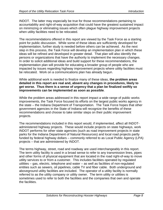INDOT. The latter may especially be true for those recommendations pertaining to accountability and right-of-way acquisition that could have the greatest sustained impact on minimizing or eliminating issues which often plague highway improvement projects when utility facilities need to be relocated.

The recommendations offered in this report are viewed by the Task Force as a starting point for public discussion. While some of these ideas are sufficiently developed for implementation, further study is needed before others can be achieved. As the next step in this process, the Task Force will develop an implementation plan in which these ideas will be refined and developed in greater detail. That plan will also identify the persons or organizations that have the authority to implement the necessary changes. In order to solicit additional ideas and build support for these recommendations, the implementation plan will provide for educating a broader group of people who are impacted by issues regarding highway improvement projects where utility facilities must be relocated. Work on a communications plan has already begun.

While additional work is needed to finalize many of these ideas, **the problem areas detailed in this report are real and, absent any changes in procedures, likely to get worse. Thus there is a sense of urgency that a plan be finalized swiftly so improvements can be implemented as soon as possible**.

While the problem areas addressed in this report impact a wide range of public works improvements, the Task Force focused its efforts on the largest public works agency in the state – the Indiana Department of Transportation. The Task Force hopes that other government agencies in the State of Indiana will recognize the benefits of these recommendations and choose to take similar steps on their public improvement projects.

The recommendations included in this report would, if implemented, affect all INDOTadministered highway projects. These would include projects on state highways, work INDOT performs for other state agencies (such as road improvement projects in state parks for the Indiana Department of Natural Resources) and local road projects partly funded by federal highway dollars – commonly referred to as Local Public Agency (LPA) projects – that are administered by INDOT.

The terms highway, street, road and roadway are used interchangeably in this report. The term utility facility is used in a broad sense to refer to any transmission lines, pipes and other forms of physical equipment that are located in the road right-of-way to move utility services to or from a customer. This includes facilities operated by regulated utilities – gas, electric, telephone and water – as well as facilities of non-regulated entities such as sewers, oil pipelines, cable TV and fiber cable. Both underground and aboveground utility facilities are included. The operator of a utility facility is normally referred to as the utility company or utility owner. The term utility or utilities is sometimes used to refer to both the facilities and the companies that own and operate the facilities.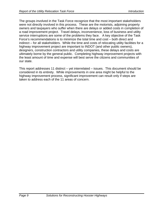The groups involved in the Task Force recognize that the most important stakeholders were not directly involved in this process. These are the motorists, adjoining property owners and taxpayers who suffer when there are delays or added costs in completion of a road improvement project. Travel delays, inconvenience, loss of business and utility service interruptions are some of the problems they face. A key objective of the Task Force's recommendations is to minimize the total time and cost – both direct and indirect – for all stakeholders. While the time and costs of relocating utility facilities for a highway improvement project are important to INDOT (and other public owners), designers, construction contractors and utility companies, these delays and costs are ultimately borne by the general public. Completing highway improvement projects with the least amount of time and expense will best serve the citizens and communities of our state.

This report addresses 11 distinct – yet interrelated – issues. This document should be considered in its entirety. While improvements in one area might be helpful to the highway improvement process, significant improvement can result only if steps are taken to address each of the 11 areas of concern.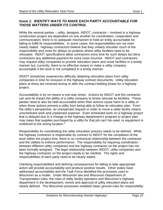# *Issue 1: IDENTIFY WAYS TO MAKE EACH PARTY ACCOUNTABLE FOR THOSE MATTERS UNDER ITS CONTROL*

While the several parties – utility, designer, INDOT, contractor – involved in a highway construction project are dependent on one another for coordination, cooperation and communication, there is no adequate mechanism to hold an entity accountable for failing to fulfill its responsibilities. In some cases, the responsibilities are not even clearly stated. Highway contractors believe that they unfairly shoulder much of the responsibility and costs for delays on projects where utility facilities need to be relocated. INDOT specifications allow contractors extra time for such delays but deny contractors any additional payment for extra costs incurred. INDOT and contractors may request utility companies to provide relocation plans and move facilities in a timely manner but, currently, there is no effective means to make a utility company accountable if the work is not completed in a timely manner.

INDOT sometimes experiences difficulty obtaining relocation plans from utility companies in time for inclusion in the highway contract documents. Utility relocation plans at times are received during or after the contract-bidding phase for a highway project.

Accountability is by no means a one-way street. Actions by INDOT and the contractor can and do impact the ability of a utility company to timely relocate its facilities. These parties need to also be held accountable when their actions cause harm to a utility or when those actions prevent a utility from being able to follow its relocation plan. From the utility's perspective, an unexpected request or order to move a utility facility means unscheduled work and unplanned expense. Even scheduled work on a highway project that is delayed due to a change in the highway department's program or project plan may mean that supplies purchased by a utility for that job can't be used, or equipment is mobilized to the wrong location.<sup>4</sup>

Responsibility for coordinating the utility relocation process needs to be defined. While the highway contractor is responsible by contract to INDOT for the completion of the work within the project time, there is no contractual relationship between the contractor and the utilities to enforce performance. The responsibility for requiring coordination between different utility companies and the highway contractor on the project has not been formally assigned. The legal relationship between INDOT, utility companies and the highway contractor on the project needs to be clarified. The rights and responsibilities of each party need to be clearly stated.

Clarifying responsibilities and defining consequences for failing to take appropriate action will provide accountability and produce positive results. Other states have addressed accountability and the Task Force identified the processes used in Wisconsin as a model. Under Wisconsin law and Wisconsin Department of Transportation rules, the roles of utility facility operators and Wisconsin's highway department in the development, review and approval of utility relocation plans are clearly defined. The Wisconsin processes establish basic ground rules for responsibility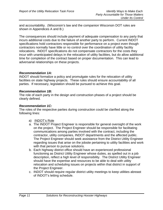and accountability. (Wisconsin's law and the companion Wisconsin DOT rules are shown in Appendices A and B.)

The consequences should include payment of adequate compensation to any party that incurs additional costs due to the failure of another party to perform. Current INDOT specifications hold contractors responsible for performance on a project even though contractors normally have little or no control over the coordination of utility facility relocations. INDOT specifications do not compensate contractors for the costs they incur with unanticipated delays in the relocation of utility facilities, but do allow additional time for completion of the contract based on proper documentation. This can lead to adversarial relationships on these projects.

## *Recommendation 1A:*

INDOT should formalize a policy and promulgate rules for the relocation of utility facilities on state highway projects. These rules should ensure accountability of all parties. If necessary, legislation should be pursued to achieve this goal.

## *Recommendation 1B:*

The role of each party in the design and construction phases of a project should be clearly defined.

## *Recommendation 1C:*

The roles of the respective parties during construction could be clarified along the following lines:

- a) INDOT's Role
- a. The INDOT Project Engineer is responsible for general oversight of the work on the project. The Project Engineer should be responsible for facilitating communications among parties involved with the contract, including the contractor, utility companies, INDOT departments and the affected public. The Project Engineer should seek assistance from the District Utility Engineer regarding issues that arise on the jobsite pertaining to utility facilities and work with that person to pursue solutions.
- b. Each highway district office should have an experienced professional functioning as District Utility Engineer whose duties, as spelled out in a job description, reflect a high level of responsibility. The District Utility Engineer should have the expertise and resources to be able to deal with utility relocation and scheduling issues on projects within that district in support of the Project Engineer.
- c. INDOT should require regular district utility meetings to keep utilities abreast of INDOT's letting schedule.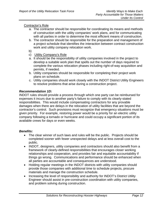# Contractor's Role

- a. The contractor should be responsible for coordinating its means and methods of construction with the utility companies' work plans, and for communicating with all parties in order to determine the most efficient means of construction.
- b. The contractor should be responsible for the preparation and management of a project schedule that identifies the interaction between contract construction work and utility company relocation work.

b)

- c) Utility Company's Role
- a. It should be the responsibility of utility companies involved in the project to develop a suitable work plan that spells out the number of days required to complete the various relocation phases including right-of-way acquisition and permits, if needed.
- b. Utility companies should be responsible for completing their project work plans on schedule.
- c. Utility companies should work closely with the INDOT District Utility Engineers to resolve problems that arise during a construction project.

## *Recommendation 1D:*

INDOT rules should provide a process through which one party can be reimbursed for expenses it incurs due to another party's failure to comply with its clearly-stated responsibilities. This would include compensating contractors for any provable damages when there are delays in the relocation of utility facilities that are beyond the contractor's control. Such provisions must recognize that emergency situations must be given priority. For example, restoring power would be a priority for an electric utility company following a tornado or hurricane and could occupy a significant portion of its available crews for days or even weeks.

- The clear winner of such laws and rules will be the public. Projects should be completed sooner with fewer unexpected delays and at less overall cost to the public.
- INDOT, designers, utility companies and contractors should also benefit from a framework of clearly-defined responsibilities that encourages closer working relationships and cooperation, and provides fair and equitable accountability if things go wrong. Communications and performance should be enhanced when all parties are accountable and consequences are understood.
- Holding regular meetings in the INDOT districts with utility companies should provide those companies with additional time to schedule projects, procure materials and manage the construction schedule.
- Increasing the level of responsibility and authority for INDOT's District Utility Engineer should assist in pre-construction coordination with utility companies, and problem solving during construction.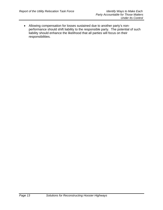• Allowing compensation for losses sustained due to another party's nonperformance should shift liability to the responsible party. The potential of such liability should enhance the likelihood that all parties will focus on their responsibilities.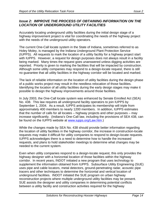# *Issue 2: IMPROVE THE PROCESS OF OBTAINING INFORMATION ON THE LOCATION OF UNDERGROUND UTILITY FACILITIES*

Accurately locating underground utility facilities during the initial design stage of a highway improvement project is vital for coordinating the needs of the highway project with the needs of the underground utility operators.

The current One-Call locate system in the State of Indiana, sometimes referred to as Holey Moley, is managed by the Indiana Underground Plant Protection Service (IUPPS). All requests to mark the location of a utility facility for a highway project start with IUPPS. However, a request for design purposes does not always result in a facility being marked. Many times the request goes unanswered unless digging activities are reported. Priority is given to marking the facilities that will be impacted by construction. Although some utility companies may respond to a design-locate request, there is still no guarantee that all utility facilities in the highway corridor will be located and marked.

The lack of reliable information on the location of utility facilities during the design phase of a public works project may result in the needless relocation of those facilities. Identifying the location of all utility facilities during the early design stages may make it possible to design the highway improvements around those facilities.

In July 2003, the One-Call locate system was enhanced by Senate Enrolled Act (SEA) No. 438. This law requires all underground facility operators to join IUPPS by September 1, 2004. As a result, IUPPS anticipates its membership will triple from approximately 400 members to nearly 1200 members. In addition, IUPPS estimates that the number of calls for all locates – highway projects and other purposes – may increase significantly. (Indiana's One-Call law, including the provisions of SEA 438, can be found on the IUPPS website at [www.iupps.org/Law.htm.](http://www.iupps.org/Law.htm))

While the changes made by SEA No. 438 should provide better information regarding the location of utility facilities in the highway corridor, the increase in construction-locate requests may make it difficult for utility companies to respond to design-locate requests. IUPPS acknowledges there is a need to determine how to handle the increased requests, and plans to hold stakeholder meetings to determine what changes may be needed to the current system.

Even when utility companies respond to a design-locate request, this only provides the highway designer with a horizontal location of those facilities within the highway corridor. In recent years, INDOT initiated a new program that uses technology to supplement the information obtained from IUPPS. Subsurface Utility Engineering (SUE) uses pipe and cable locators, metal detectors, ground-penetrating radar, acoustic pipe tracers and other techniques to determine the horizontal and vertical location of underground facilities. INDOT initiated the SUE program on urban highway reconstruction projects where multiple underground utility facilities may be present. SUE assists the designer and utility companies in determining potential conflicts between a utility facility and construction activities required for the highway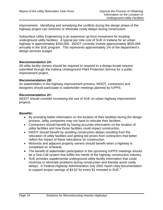improvement. Identifying and remedying the conflicts during the design phase of the highway project can minimize or eliminate costly delays during construction.

Subsurface Utility Engineering is an expensive up-front investment for locating underground utility facilities. A typical per mile cost of SUE in Indiana for an urban highway is approximately \$150,000. INDOT currently invests approximately \$625,000 annually in the SUE program. This represents approximately 1% of the department's design services budget.

#### *Recommendation 2A***:**

All utility facility owners should be required to respond to a design-locate request submitted through the Indiana Underground Plant Protection Service for a public improvement project.

#### *Recommendation 2B***:**

As stakeholders in the highway improvement process, INDOT, contractors and designers should participate in stakeholder meetings planned by IUPPS.

#### *Recommendation 2C***:**

INDOT should consider increasing the use of SUE on urban highway improvement projects.

- By providing better information on the location of their facilities during the design process, utility companies may not have to relocate their facilities.
- Contractors should benefit by having accurate information on the location of utility facilities and how those facilities could impact construction.
- INDOT should benefit by avoiding construction delays resulting from the relocation of utility facilities and getting bid prices from contractors that better reflect the impact of these relocations on construction.
- Motorists and adjacent property owners should benefit when a highway is completed on schedule.
- The benefit of stakeholder participation in the upcoming IUPPS meetings should be a One-Call system that fulfills the needs of the highway construction industry.
- SUE provides supplemental underground utility facility information that could minimize or eliminate problems during construction and thereby avoid costly delays. A Federal Highway Administration July 2002 report cites documentation to support project savings of \$4.62 for every \$1 invested in SUE.<sup>5</sup>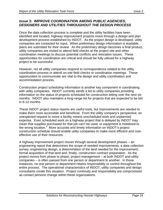# *Issue 3: IMPROVE COORDINATION AMONG PUBLIC AGENCIES, DESIGNERS AND UTILITIES THROUGHOUT THE DESIGN PROCESS*

Once the data collection process is complete and the utility facilities have been identified and located, highway improvement projects move through a design and plan development process established by INDOT. As the project design is developed, utility companies are contacted for input. When preliminary design information is available, plans are submitted for their review. As the preliminary design becomes a final product, utility companies are invited to attend field checks at the project site and other coordination meetings to discuss potential conflicts and relocation issues. These opportunities for coordination are critical and should be fully utilized for a highway project to be successful.

However, not all utility companies respond to correspondence related to the utility coordination process or attend on-site field checks or coordination meetings. These opportunities to communicate are vital to the design and utility coordination and accommodation process.

Construction project scheduling information is another key component in coordinating with utility companies. INDOT currently sends a list to utility companies providing information on the status of projects scheduled for construction letting over the next six months. INDOT also maintains a long-range list for projects that are expected to be bid in 6-12 months.

These INDOT project status reports are useful tools, but improvements are needed to make them more accessible and beneficial. From the utility company's perspective, an unexpected request to move a facility means unscheduled work and unplanned expense. Even scheduled work on a highway project that is delayed by INDOT may mean that supplies purchased for that job can't be used, or equipment is mobilized to the wrong location. $4$  More accurate and timely information on INDOT's project construction schedule should enable utility companies to make more efficient and costeffective use of their resources.

A highway improvement project moves through several development phases – an engineering report that determines the scope of needed improvements, a data collection survey, engineering design, a determination of the land needed for the improvement, formal acquisition of that land and, finally, construction contract preparation. As the project moves from phase to phase, project management – at both INDOT and utility companies – is often passed from one person or department to another. In those instances, no one person or department retains responsibility or control throughout the entire process. The operational characteristics of INDOT, utility companies and design consultants create this situation. Project continuity and responsibility are compromised as contact persons change within these organizations.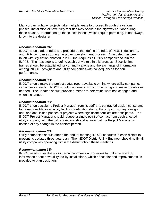Many urban highway projects take multiple years to proceed through the various phases. Installation of new utility facilities may occur in the highway corridor during these phases. Information on these installations, which require permitting, is not always known to the designer.

# *Recommendation 3A*:

INDOT should adopt rules and procedures that define the roles of INDOT, designers, and utility companies during the project development process. A first step has been taken with legislation enacted in 2003 that requires all utility companies to join the IUPPS. The next step is to define each party's role in this process. Specific time frames should be established for communications and the exchange of information among INDOT, designers and utility companies with consequences for nonperformance.

## *Recommendation 3B*:

INDOT should make the project status report available on-line where utility companies can access it easily. INDOT should continue to monitor the listing and make updates as needed. The updates should provide a means to determine what has changed and when it changed.

# *Recommendation 3C*:

INDOT should assign a Project Manager from its staff or a contracted design consultant to be responsible for all utility facility coordination during the scoping, survey, design and land acquisition phases of projects where significant conflicts are anticipated. The INDOT Project Manager should request a single point of contact from each affected utility company, and the utility company should ensure that the Project Manager is notified of any change in the contact person.

## *Recommendation 3D:*

Utility companies should attend the annual meeting INDOT conducts in each district to present its updated three-year plan. The INDOT District Utility Engineer should notify all utility companies operating within the district about these meetings.

## *Recommendation 3E:*

INDOT needs to evaluate its internal coordination processes to make certain that information about new utility facility installations, which affect planned improvements, is provided to plan designers.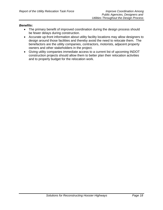- The primary benefit of improved coordination during the design process should be fewer delays during construction.
- Accurate up-front information about utility facility locations may allow designers to design around those facilities and thereby avoid the need to relocate them. The benefactors are the utility companies, contractors, motorists, adjacent property owners and other stakeholders in the project.
- Giving utility companies immediate access to a current list of upcoming INDOT construction projects should allow them to better plan their relocation activities and to properly budget for the relocation work.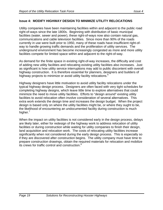# **Issue 4: MODIFY HIGHWAY DESIGN TO MINIMIZE UTILITY RELOCATIONS**

Utility companies have been maintaining facilities within and adjacent to the public road right-of-ways since the late 1800s. Beginning with distribution of basic municipal facilities (water, sewer and power), these right-of-ways now also contain natural gas, communications and cable television facilities. Since more than 90% of the roads currently in use were built prior to 1950, many of these roads have insufficient right-ofway to handle growing traffic demands and the proliferation of utility services. The underground environment has become increasingly congested as more and more utility facilities compete for limited space within and adjacent to the right-of-way.

As demand for the finite space in existing right-of-way increases, the difficulty and cost of adding new utility facilities and relocating existing utility facilities also increases. Just as significant is how utility service interruptions may add to public discontent with overall highway construction. It is therefore essential for planners, designers and builders of highway projects to minimize or avoid utility facility relocations.  $6$ 

Highway designers have little motivation to avoid utility facility relocations under the typical highway design process. Designers are often faced with very tight schedules for completing highway designs, which leave little time to explore alternatives that could minimize the need to move utility facilities. Efforts to "design around" existing utility facilities to avoid relocation often involve consideration of several alternatives. This extra work extends the design time and increases the design budget. When the project design is based only on where the utility facilities might be, or where they ought to be, the likelihood of encountering an undocumented facility during construction is much higher.<sup>7</sup>

When the impact on utility facilities is not considered early in the design process, delays are likely later, either for redesign of the highway work to address relocation of utility facilities or during construction while waiting for utility companies to finish their design, land acquisition and relocation work. The costs of relocating utility facilities increase significantly when not considered during the early design process. This is especially so if they are discovered after construction begins. The utility company must have time to prepare construction drawings, obtain the required materials for relocation and mobilize its crews for traffic control and construction.<sup>8</sup>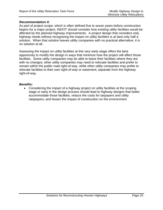## *Recommendation 4:*

As part of project scope, which is often defined five to seven years before construction begins for a major project, INDOT should consider how existing utility facilities would be affected by the planned highway improvements. A project design that considers only highway needs without recognizing the impact on utility facilities is at best only half a solution. When that solution leaves utility companies with no practical alternative, it is no solution at all.

Assessing the impact on utility facilities at this very early stage offers the best opportunity to modify the design in ways that minimize how the project will affect those facilities. Some utility companies may be able to leave their facilities where they are with no changes; other utility companies may need to relocate facilities and prefer to remain within the public road right-of-way, while other utility companies may prefer to relocate facilities to their own right-of-way or easement, separate from the highway right-of-way.

## *Benefits:*

• Considering the impact of a highway project on utility facilities at the scoping stage or early in the design process should lead to highway designs that better accommodate those facilities, reduce the costs for taxpayers and utility ratepayers, and lessen the impact of construction on the environment.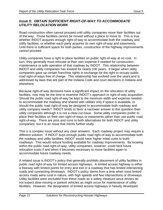# *Issue 5: OBTAIN SUFFICIENT RIGHT-OF-WAY TO ACCOMMODATE UTILITY RELOCATION WORK*

Road construction often cannot proceed until utility companies move their facilities out of the way. Those facilities cannot be moved without a place to move to. This is true whether INDOT acquires enough right-of-way to accommodate both the roadway and utility facilities, or whether each party acquires its own right-of-way and easements. Until there is sufficient space for both parties, construction of the highway improvements cannot proceed.

Utility companies have a right to place facilities on public right-of-way at no cost. In turn, they generally must relocate at their own expense if needed for construction, maintenance or safe operation of that roadway by INDOT. This relationship between INDOT and utility companies has existed for nearly 100 years. It began when utility companies gave up certain franchise rights in exchange for the right to occupy public road right-of-ways free of charge. This relationship has evolved over the years and is addressed by laws that are part of the Indiana Code and court decisions in Indiana and elsewhere.

Because right-of-way decisions have a significant impact on the relocation of utility facilities, now may be the time to examine INDOT's approach to right-of-way acquisition. Should the public road right-of-way be kept to the minimum width and expense needed to accommodate the roadway and shared with utilities only if space is available, or should the public road right-of-way be designed to accommodate both roadway and utility company needs? INDOT tends to favor a narrower answer to this question than utility companies although it is not a clear-cut issue. Some utility companies prefer to place their facilities on their own right-of-ways or easements rather than use public road right-of-way. There are pros and cons to both alternatives for both INDOT and utility companies, but it is an issue that merits further study.

This is a complex issue without any clear answers. Each roadway project may require a different solution. If INDOT buys enough public road right-of-way to accommodate both the roadway and utility facilities, INDOT would have higher initial costs to build roadways. This would reduce funding available for roadway improvements. By locating within the public road right-of-way, utility companies, however, could face future relocation costs if and when it becomes necessary to move facilities again to accommodate future roadway needs.

A related issue is INDOT's policy that generally prohibits placement of utility facilities in public road right-of-way for limited access highways. A limited access highway is either a freeway with limited points for entry and exit or a roadway that has limited intersecting roads and connecting driveways. INDOT's policy stems from a time when most limited access roads were rural in nature, with high speeds and few intersections or driveways. Utility facilities were excluded from these roads as a safety measure since drivers do not expect slow-moving or parked vehicles as might occur for maintenance of utility facilities. However, the designation of limited access highways in heavily developed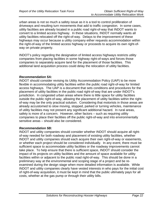urban areas is not so much a safety issue as it is a tool to control proliferation of driveways and resulting turn movements that add to traffic congestion. In some cases, utility facilities are already located in a public road right-of-way that INDOT wants to convert to a limited access highway. In these situations, INDOT normally wants all utility facilities relocated off the right-of-way. Delays to the improvement of these highways may occur because a utility company either requests accommodation within the right-of-way of the limited access highway or proceeds to acquire its own right-ofway on private property.

INDOT's policy regarding the designation of limited access highways restricts utility companies from placing facilities in some highway right-of-ways and forces those companies to separately acquire land for the placement of those facilities. This additional land acquisition process could delay the relocation of utility facilities.

# *Recommendation 5A:*

INDOT should consider revising its Utility Accommodation Policy (UAP) to be more flexible in accommodating utility facilities within the public road right-of-way for limited access highways. The UAP is a document that sets conditions and procedures for the placement of utility facilities in the public road right-of-way that are under INDOT's jurisdiction. In congested urban areas where there is little space for utility facilities outside the public right-of-way, allowing the placement of utility facilities within the rightof-way may be the only practical solution. Considering that motorists in those areas are already accustomed to slow moving, stopped, parked or turning vehicles, maintenance of utility facilities may not present any significant additional hazard. In rural areas, safety is more of a concern. However, other factors – such as requiring utility companies to place their facilities off the public right-of-way and into environmentally sensitive areas – should also be considered.

## *Recommendation 5B:*

INDOT and utility companies should consider whether INDOT should acquire all rightof-way needed for both roadway and placement of existing utility facilities, whether INDOT and utility companies should each acquire their own right-of-way or easements, or whether each project should be considered individually. In any event, there must be sufficient space to accommodate utility facilities or the roadway improvements cannot take place. To help ensure that there is sufficient space, INDOT should consider the impact of its projects on utility facilities and the amount of space available for utility facilities within or adjacent to the public road right-of-way. This should be done in a preliminary way at the environmental and scoping stage of a project and be reexamined during the design stage when more detailed information is available. While INDOT and utility companies clearly have vested interests in who pays for the initial cost of right-of-way acquisition, it must be kept in mind that the public ultimately pays for all costs, whether at the gas pump or through their utility bills.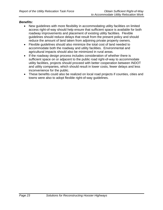- New guidelines with more flexibility in accommodating utility facilities on limited access right-of-way should help ensure that sufficient space is available for both roadway improvements and placement of existing utility facilities. Flexible guidelines should reduce delays that result from the present policy and should reduce the amount of land taken from adjoining private property owners.
- Flexible guidelines should also minimize the total cost of land needed to accommodate both the roadway and utility facilities. Environmental and agricultural impacts should also be minimized in rural areas.
- If the roadway design process includes consideration of whether there is sufficient space on or adjacent to the public road right-of-way to accommodate utility facilities, projects should proceed with better cooperation between INDOT and utility companies, which should result in lower costs, fewer delays and less inconvenience for the public.
- These benefits could also be realized on local road projects if counties, cities and towns were also to adopt flexible right-of-way guidelines.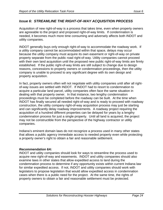# *Issue 6: STREAMLINE THE RIGHT-OF-WAY ACQUISITION PROCESS*

Acquisition of new right-of-way is a process that takes time, even when property owners are agreeable to the project and proposed right-of-way limits. If condemnation is needed, it becomes much more time consuming and adversely affects both INDOT and utility companies.

INDOT generally buys only enough right-of-way to accommodate the roadway work. If a utility company cannot be accommodated within that space, delays may occur because the utility company must acquire its own easement or right-of-way on private property separate from the public road right-of-way. Utility companies cannot proceed with their own land acquisition until the proposed new public right-of-way limits are firmly established. If the public right-of-way limits are still subject to change due to design reasons, concessions to property owners or condemnation proceedings, then the utility company is unable to proceed to any significant degree with its own design and property acquisition.

In fact, property owners often will not negotiate with utility companies until after all rightof-way issues are settled with INDOT. If INDOT had to resort to condemnation to acquire a particular land parcel, utility companies often face the same situation in dealing with that property owner. In that instance, two lengthy condemnation proceedings must be completed before the roadway can be built. At the time when INDOT has finally secured all needed right-of-way and is ready to proceed with roadway construction, the utility company right-of-way acquisition process may just be starting and can significantly delay roadway improvements. A roadway project requiring the acquisition of a hundred different properties can be delayed for years by a lengthy condemnation process for just a single property. Until all land is acquired, the project may not be constructible from the perspective of the highway contractor or utility companies.

Indiana's eminent domain laws do not recognize a process used in many other states that allows a public agency immediate access to needed property even while protecting a property owner's right to obtain a fair and reasonable settlement.

# *Recommendation 6A:*

INDOT and utility companies should look for ways to streamline the process used to acquire new right-of-way and easements. INDOT and utility companies should also examine laws in other states that allow expedited access to land during the condemnation process to determine if any opportunity exists within current Indiana law for similar expedited access. If not, INDOT and utility companies should work with legislators to propose legislation that would allow expedited access in condemnation cases when there is a public need for the project. At the same time, the rights of property owners to obtain a fair and reasonable settlement must be protected.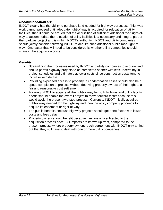## *Recommendation 6B:*

INDOT clearly has the ability to purchase land needed for highway purposes. If highway work cannot proceed until adequate right-of-way is acquired for relocation of utility facilities, then it could be argued that the acquisition of sufficient additional road right-ofway to accommodate the relocation of utility facilities is a necessary and integral part of the roadway project and is within INDOT's authority. INDOT and utility companies should jointly consider allowing INDOT to acquire such additional public road right-ofway. One factor that will need to be considered is whether utility companies should share in the acquisition costs.

- Streamlining the processes used by INDOT and utility companies to acquire land should permit highway projects to be completed sooner with less uncertainty in project schedules and ultimately at lower costs since construction costs tend to increase with delays.
- Providing expedited access to property in condemnation cases should also help speed completion of projects without depriving property owners of their right to a fair and reasonable cost settlement.
- Allowing INDOT to acquire all the right-of-way for both highway and utility facility needs should enable the overall project to move forward faster because this would avoid the present two-step process. Currently, INDOT initially acquires right-of-way needed for the highway and then the utility company proceeds to acquire its easement or right-of-way.
- The public benefits because highway projects should get done faster with lower costs and less delay.
- Property owners should benefit because they are only subjected to the acquisition process once. All impacts are known up front, compared to the present process where property owners reach agreement with INDOT only to find out that they still have to deal with one or more utility companies.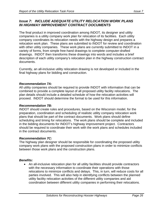# *Issue 7: INCLUDE ADEQUATE UTILITY RELOCATION WORK PLANS IN HIGHWAY IMPROVEMENT CONTRACT DOCUMENTS*

The final product in improved coordination among INDOT, its designer and utility companies is a utility company work plan for relocation of its facilities. Each utility company coordinates its relocation needs with the highway design and prepares a relocation work plan. These plans are submitted to INDOT for review and coordination with other utility companies. These work plans are currently submitted to INDOT in a variety of forms, from simple free-hand drawings to complete computer-drafted drawings. INDOT then transforms these drawings into words and includes a brief description of each utility company's relocation plan in the highway construction contract documents.

Currently, an all-inclusive utility relocation drawing is not developed or included in the final highway plans for bidding and construction.

# *Recommendation 7A:*

All utility companies should be required to provide INDOT with information that can be combined to provide a complete layout of all proposed utility facility relocations. The plan details should include a detailed schedule of how the relocation activities will proceed. INDOT should determine the format to be used for this information.

# *Recommendation 7B:*

INDOT should create rules and procedures, based on the Wisconsin model, for the preparation, coordination and scheduling of realistic utility company relocation work plans that should be part of the contract documents. Work plans should define scheduling and timing for relocations. The work plans should be complete and included in the bidding documents for INDOT's highway improvement project. Contractors should be required to coordinate their work with the work plans and schedules included in the contract documents.

# *Recommendation 7C:*

The highway plan designer should be responsible for coordinating the proposed utility company work plans with the proposed construction plans in order to minimize conflicts between those work plans and the construction plans.

# *Benefits:*

• An all-inclusive relocation plan for all utility facilities should provide contractors with the necessary information to coordinate their operations with those relocations to minimize conflicts and delays. This, in turn, will reduce costs for all parties involved. This will also help in identifying conflicts between the planned utility facility relocation activities of the different utility companies and aid coordination between different utility companies in performing their relocations.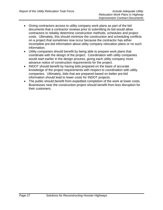- Giving contractors access to utility company work plans as part of the bid documents that a contractor reviews prior to submitting its bid would allow contractors to reliably determine construction methods, schedules and project costs. Ultimately, this should minimize the construction and scheduling conflicts on a project that sometimes now occur because the contractor has either incomplete pre-bid information about utility company relocation plans or no such information.
- Utility companies should benefit by being able to prepare work plans that coordinate with the design of the project. Coordination with utility companies would start earlier in the design process, giving each utility company more advance notice of construction requirements for the project.
- INDOT should benefit by having bids prepared on the basis of accurate knowledge of the project requirements with respect to coordination with utility companies. Ultimately, bids that are prepared based on better pre-bid information should lead to lower costs for INDOT projects.
- The public should benefit from expedited completion of the work at lower costs. Businesses near the construction project should benefit from less disruption for their customers.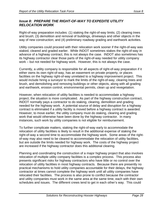# *Issue 8: PREPARE THE RIGHT-OF-WAY TO EXPEDITE UTILITY RELOCATION WORK*

Right-of-way preparation includes: (1) staking the right-of-way limits; (2) clearing trees and brush; (3) demolition and removal of buildings, driveways and other objects in the way of new construction; and (4) preliminary roadway grading and earthwork activities.

Utility companies could proceed with their relocation work sooner if the right-of-way was staked, cleared and graded earlier.While INDOT sometimes stakes the right-of-way in advance of a highway contract, this is not always the case. INDOT also sometimes has its highway contractor clear those parts of the right-of-way needed for utility company work – but not needed for highway work. However, this is not always the case.

Currently, a utility company is responsible for all aspects of right-of-way preparation if it either owns its own right-of-way, has an easement on private property, or places facilities on the highway right-of-way unrelated to a highway improvement project. This would include hiring a surveyor to mark the limits of the right-of-way, clearing trees and brush, and demolishing and removing buildings or other objects, along with all grading and earthwork, erosion control, environmental permits, clean up and revegetation.

However, when relocation of utility facilities is needed to accommodate a highway project, the situation is more complicated. As part of the highway construction contract, INDOT normally pays a contractor to do staking, clearing, demolition and grading needed for the highway work. A potential source of delay and disruption for a highway contract is eliminated if a utility facility is moved before a highway contract is awarded. However, to move earlier, the utility company must do staking, clearing and grading work that would otherwise have been done by the highway contractor. In many instances, such work by utility companies is not eligible for reimbursement.

To further complicate matters, staking the right-of-way early to accommodate the relocation of utility facilities is likely to result in the additional expense of staking the right-of-way a second time to accommodate the highway work. Some areas of the rightof-way may also need to be cleared to accommodate the relocation of utility facilities, but are outside the limits needed for highway work. The costs of the highway project are increased if the highway contractor does this additional clearing.

Planning and coordinating the construction of a major highway project that also involves relocation of multiple utility company facilities is a complex process. This process also presents significant risks for highway contractors who have little or no control over the relocation of utility facilities in most highway contracts. Because there are presently no practical mechanisms to hold utility companies accountable for their delays, the highway contractor at times cannot complete the highway work until all utility companies have relocated their facilities. The process is also prone to conflict because the contractor and utility companies must work in the same area at the same time, each with their own schedules and issues. The different crews tend to get in each other's way. This could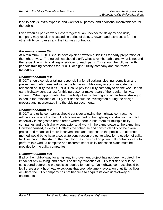lead to delays, extra expense and work for all parties, and additional inconvenience for the public.

Even when all parties work closely together, an unexpected delay by one utility company may result in a cascading series of delays, rework and extra costs for the other utility companies and the highway contractor.

# *Recommendation 8A:*

At a minimum, INDOT should develop clear, written guidelines for early preparation of the right-of-way. The guidelines should clarify what is reimbursable and what is not and the respective rights and responsibilities of each party. This should be followed with periodic training sessions for INDOT, designer, utility company and contractor personnel.

# *Recommendation 8B:*

INDOT should consider taking responsibility for all staking, clearing, demolition and preliminary grading needed within the highway right-of-way to accommodate the relocation of utility facilities. INDOT could pay the utility company to do the work, let an early highway contract just for this purpose, or make it part of the regular highway contract. When appropriate, the possibility of early clearing and right-of-way staking to expedite the relocation of utility facilities should be investigated during the design process and incorporated into the bidding documents.

## *Recommendation 8C:*

INDOT and utility companies should consider allowing the highway contractor to relocate some or all of the utility facilities as part of the highway construction contract, especially in congested urban areas where there is little room for multiple utility companies and the highway contractor to all work in the same space at the same time. However caused, a delay still affects the schedule and constructability of the overall project and means still more inconvenience and expense to the public. An alternate method would be to have a separate construction project to allow for relocation of utility facilities prior to the start of the main highway construction project. If contractors are to perform this work, a complete and accurate set of utility relocation plans must be provided by the utility companies.

## *Recommendation 8D:*

If all of the right-of-way for a highway improvement project has not been acquired, the impact of any missing land parcels on timely relocation of utility facilities should be considered before the project is scheduled for letting. No highway contract should be let if there are right-of-way exceptions that preclude timely relocation of utility facilities, or where the utility company has not had time to acquire its own right-of-way or easements.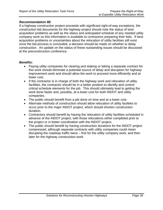## *Recommendation 8E*:

If a highway construction project proceeds with significant right-of-way exceptions, the construction bid documents for the highway project should note the status of land acquisition problems as well as the status and anticipated schedule of any needed utility company work so this information is available to contractors preparing their bids. If land acquisition problems or uncertainties about the relocation of utility facilities still exist once the bid process is concluded, a decision should be made on whether to delay construction. An update on the status of these outstanding issues should be discussed at the preconstruction conference.

- Paying utility companies for clearing and staking or letting a separate contract for this work should eliminate a potential source of delay and disruption for highway improvement work and should allow the work to proceed more efficiently and at lower cost.
- If the contractor is in charge of both the highway work and relocation of utility facilities, the contractor should be in a better position to identify and control critical schedule elements for the job. This should ultimately lead to getting the work done faster and, possibly, at a lower cost for both INDOT and utility companies.
- The public should benefit from a job done on time and at a lower cost.
- Alternate methods of construction should allow relocation of utility facilities to occur prior to the major INDOT project, which should shorten construction duration.
- Contractors should benefit by having the relocation of utility facilities scheduled in advance of the INDOT project, with those relocations either completed prior to the project or in better coordination with the INDOT project.
- The public should benefit by having construction durations for the INDOT project compressed, although separate contracts with utility companies could mean disrupting the roadway traffic twice – first for the utility company work, and then later for the highway construction work.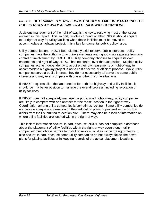# *Issue 9: DETERMINE THE ROLE INDOT SHOULD TAKE IN MANAGING THE PUBLIC RIGHT-OF-WAY ALONG STATE HIGHWAY CORRIDORS*

Judicious management of the right-of-way is the key to resolving most of the issues outlined in this report. This, in part, revolves around whether INDOT should acquire extra right-of-way for utility facilities when those facilities must be moved to accommodate a highway project. It is a key fundamental public policy issue.

Utility companies and INDOT both ultimately exist to serve public interests. Utility companies have the authority to acquire easements and right-of-way separate from any control or involvement by INDOT. If a utility company chooses to acquire its own easements and right-of-way, INDOT has no control over that acquisition. Multiple utility companies acting independently to acquire their own easements or right-of-way to accommodate a highway project is not a cost effective or efficient process. While utility companies serve a public interest, they do not necessarily all serve the same public interests and may even compete with one another in some situations.

If INDOT acquires all of the land needed for both the highway and utility facilities, it should be in a better position to manage the overall process, including relocation of utility facilities.

If INDOT does not adequately manage the public road right-of-way, utility companies are likely to compete with one another for the "best" location in the right-of-way. Coordination among utility companies is sometimes lacking. Some utility companies do not provide adequate information on their relocation plans or proceed with work that differs from their submitted relocation plan. There may also be a lack of information on where utility facilities are located within the right-of-way.

This lack of information occurs, in part, because INDOT has not compiled a database about the placement of utility facilities within the right-of-way even though utility companies must obtain permits to install or service facilities within the right-of-way. It also occurs, in part, because some utility companies do not always follow their own plans for placing facilities or in keeping records of the actual placement locations.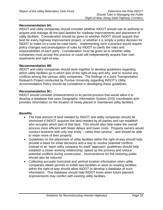# *Recommendation 9A:*

INDOT and utility companies should consider whether INDOT should use its authority to acquire and manage all the land needed for roadway improvements and placement of utility facilities. Consideration should be given to whether INDOT should acquire that land for every highway improvement project, or whether it is simply a policy decision for INDOT to make on a case-by-case basis. Implementing such a practice would require policy changes and promulgation of rules by INDOT to clarify the roles and responsibilities of each party. Consideration must be given as to whether utility companies must accept this practice or could still independently acquire their own easements and right-of-way.

## *Recommendation 9B:*

INDOT and utility companies should work together to develop guidelines regarding which utility facilities go in which part of the right-of-way and why, and to resolve any conflicts among the various utility companies. The findings of a Joint Transportation Research Project conducted by Purdue University regarding INDOT's Utility Accommodation Policy should be considered in developing these guidelines.

## *Recommendation 9C:*

INDOT should consider enhancements to its permit process that would allow it to develop a database that uses Geographic Information System (GIS) coordinates and provides information on the location of newly placed or maintained utility facilities.

- The total amount of land needed by INDOT and utility companies should be minimized if INDOT acquires the land needed by all parties and can establish who occupies which part of that land. This should also help make the overall process more efficient with fewer delays and lower costs. Property owners would conduct business with only one entity – rather than several – and should be able to retain more of their property.
- Guidelines on the placement of utility facilities within the right-of-way should help provide a basis for initial decisions and a way to resolve potential conflicts. Instead of an "each utility company for itself" approach, guidelines should help establish a closer working relationship, speed up the process and reduce potential conflicts during construction. Inconvenience for the motoring public should also be reduced.
- Collecting accurate horizontal and vertical location information when utility companies obtain permits to install new facilities or work on existing facilities within the right-of-way should allow INDOT to develop a database of such information. This database should help INDOT know when future planned improvements may conflict with existing utility facilities.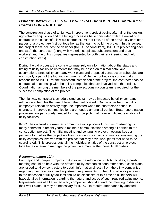# *Issue 10: IMPROVE THE UTILITY RELOCATION COORDINATION PROCESS DURING CONSTRUCTION*

The construction phase of a highway improvement project begins after all of the design, right-of-way acquisition and the letting processes have concluded with the award of a contract to the successful low-bid contractor. At that time, all of the previously unrelated parties of a project are first put together as the team to build the project. In this sense, the project team includes the designer (INDOT or consultant), INDOT's project engineer and staff, the contractor (along with material suppliers, subcontractors and craft workers) and the utility companies (represented by both their engineering and field construction staffs).

During the bid process, the contractor must rely on information about the status and timing of utility facility adjustments that may be based on minimal detail and assumptions since utility company work plans and proposed construction schedules are not usually a part of the bidding documents. While the contractor is contractually responsible to INDOT for the successful completion of the project, the contractor has no contractual relationship with the utility companies that are involved with the project. Coordination among the members of the project construction team is required for the successful completion of the project.

The highway contractor's schedule (and costs) may be impacted by utility company relocation schedules that are different than anticipated. On the other hand, a utility company's relocation activity might be impacted when the contractor's schedule changes. Improved communications are needed among all parties. Better coordination processes are particularly needed for major projects that have significant relocation of utility facilities.

INDOT has utilized a formalized communications process known as "partnering" on many contracts in recent years to maintain communications among all parties to the construction project. The initial meeting and continuing project meetings keep all parties informed as the project evolves. Partnering can aid communications among the utility companies involved with the project that may have work plans that need to be coordinated. This process puts all the individual entities of the construction project together as a team to manage the project in a manner that benefits all parties.

# *Recommendation 10A:*

For major and complex projects that involve the relocation of utility facilities, a pre-bid meeting should be held with the affected utility companies soon after construction plans are issued to allow contractors to obtain information directly from the utility companies regarding their relocation and adjustment requirements. Scheduling of work pertaining to the relocation of utility facilities should be discussed at this time so all bidders will have detailed information regarding the nature and scope of such required adjustments. Representatives of all affected utility companies should attend this meeting to discuss their work plans. It may be necessary for INDOT to require attendance by affected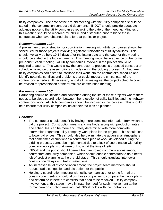utility companies.The date of the pre-bid meeting with the utility companies should be stated in the construction contract bid documents. INDOT should provide adequate advance notice to the utility companies regarding the date of the meeting. Minutes of this meeting should be recorded by INDOT and distributed prior to bid to those contractors who have obtained plans for that particular project.

# *Recommendation 10B:*

A preliminary pre-construction or coordination meeting with utility companies should be scheduled for those projects involving significant relocations of utility facilities. This should typically be held 10-14 days after the letting date and the date for this meeting should be stated in the bid documents.This meeting would be in advance of the formal pre-construction meeting. All utility companies involved in the project should be required to attend. This would allow the contractor to present its proposed construction schedule based on the assumptions it made during the bidding process. At that time, utility companies could start to interface their work into the contractor's schedule and identify potential conflicts and problems that could impact the critical path of the contractor's schedule. If necessary, and if all parties agree, the project schedule could be revised for presentation at the formal pre-construction meeting.

# *Recommendation 10C:*

Partnering should be initiated and continued during the life of those projects where there needs to be close coordination between the relocation of utility facilities and the highway contractor's work. All utility companies should be involved in this process. This should help ensure that utility companies install their facilities as planned.

- The contractor should benefit by having more complete information from which to bid the project. Construction means and methods, along with production rates and schedules, can be more accurately determined with more complete information regarding utility company work plans for the project. This should lead to lower bid prices. This should also help eliminate the adversarial atmosphere that sometimes occurs when a contractor's plan of work, developed during the bidding process, cannot be implemented due to a lack of coordination with utility company work plans that were unknown at the time of letting.
- INDOT and the public should benefit from improved communications among contractors and utility companies, which should enable contractors to do a better job of project planning at the pre-bid stage. This should translate into fewer construction delays and traffic restrictions.
- An increased level of cooperation among the project team members should reduce traffic congestion and disruption for the public.
- Holding a coordination meeting with utility companies prior to the formal preconstruction meeting should allow those companies to compare their work plans and determine if there are conflicts that need to be resolved. Utility company involvement at this stage may eliminate the need for such involvement at the formal pre-construction meeting that INDOT holds with the contractor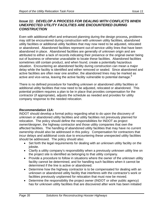# *Issue 11: DEVELOP A PROCESS FOR DEALING WITH CONFLICTS WHEN UNEXPECTED UTILITY FACILITIES ARE ENCOUNTERED DURING CONSTRUCTION*

Even with additional effort and enhanced planning during the design process*,* problems may still be encountered during construction with unknown utility facilities, abandoned utility facilities or additional utility facilities that may now need to be adjusted, relocated or abandoned. Abandoned facilities represent out-of-service utility lines that have been abandoned in place. Abandoned facilities are generally of unknown origin and are attributed to either a lack of records indicating their presence or the original owner being out of business or otherwise unavailable to locate these facilities. Abandoned facilities sometimes still contain product, and when found, create a potentially hazardous situation. Encountering an abandoned facility during construction can mean a major delay while the facility is identified and either removed or sealed. Since abandoned and active facilities are often near one another, the abandoned lines may be marked as active and vice-versa, leaving the active facility vulnerable to potential damage.<sup>9</sup>

There is no defined procedure for handling unknown or abandoned utility facilities or additional utility facilities that now need to be adjusted, relocated or abandoned. This potential problem requires a plan to be in place that provides compensation for the contractor (if appropriate), adjusts the schedule as needed and provides for utility company response to the needed relocation.

# *Recommendation 11A:*

INDOT should develop a formal policy regarding what to do upon the discovery of unknown or abandoned utility facilities and utility facilities not previously planned for relocation. The policy should define the responsibilities for INDOT as project owner/designer, the highway contractor and those utility companies that own the affected facilities. The handling of abandoned utility facilities that may have no current ownership should also be addressed in this policy. Compensation for contractors that incur delays and additional costs due to encountering these unexpected utility facilities should be addressed. The policy should also:

- Set forth the legal requirements for dealing with an unknown utility facility on the jobsite.
- Clarify a utility company's responsibility when a previously unknown utility line on the project site is identified as belonging to that utility company.
- Provide a procedure to follow in situations where the owner of the unknown utility facility cannot be determined, and for handling such facilities when it cannot be determined if the line is active or abandoned.
- Determine how the highway contractor is to be compensated for dealing with an unknown or abandoned utility facility that interferes with the contractor's work or facilities previously unplanned for relocation that must now be moved.
- Determine the responsibility the project owner (INDOT or other public agency) has for unknown utility facilities that are discovered after work has been initiated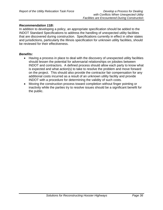## *Recommendation 11B:*

In addition to developing a policy, an appropriate specification should be added to the INDOT Standard Specifications to address the handling of unexpected utility facilities that are discovered during construction. Specifications currently in effect in other states and jurisdictions, particularly the Illinois specification for unknown utility facilities, should be reviewed for their effectiveness.

- Having a process in place to deal with the discovery of unexpected utility facilities should lessen the potential for adversarial relationships on jobsites between INDOT and contractors. A defined process should allow each party to know what is expected and what action(s) to take to resolve the problem and move forward on the project. This should also provide the contractor fair compensation for any additional costs incurred as a result of an unknown utility facility and provide INDOT with a procedure for determining the validity of such costs.
- Moving the construction process toward completion without finger pointing or inactivity while the parties try to resolve issues should be a significant benefit for the public.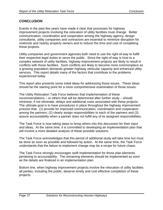# *CONCLUSION*

Events in the past few years have made it clear that processes for highway improvement projects involving the relocation of utility facilities must change. Better communication, coordination and cooperation among the highway agency, design consultants, utility companies and contractors are essential to minimize disruption for motorists and nearby property owners and to reduce the time and cost of completing these projects.

Utility companies and government agencies both need to use the right-of-way to fulfill their respective legal duties to serve the public. Since the right-of-way is host to a complex network of utility facilities, highway improvement projects are likely to result in conflicts with those facilities. Such conflicts are likely to become more commonplace as a growing population demands greater highway vehicular capacity and enhanced utility services. This report details many of the factors that contribute to the problems experienced today.

This report also presents some initial ideas for addressing those issues. These ideas should be the starting point for a more comprehensive examination of those issues.

The Utility Relocation Task Force believes that implementation of these recommendations – or others that will be determined after further study – should minimize, if not eliminate, delays and additional costs associated with these projects. The ultimate goal is to have procedures in place throughout the highway improvement process that: (1) provide for improved communication, coordination and cooperation among the partners; (2) clearly assign responsibilities to each of the partners and (3) assure accountability when a partner does not fulfill any of its assigned responsibilities.

The Task Force is now taking steps to bring others into this discussion for their input and ideas. At the same time, it is committed to developing an implementation plan that will involve a more detailed analysis of these possible solutions.

The Task Force acknowledges that this period of additional study will take time but must be done as soon as possible and followed by action. At the same time, the Task Force understands that the failure to implement change may be a recipe for future chaos.

The Task Force strongly encourages swift implementation for those plan elements pertaining to accountability. The remaining elements should be implemented as soon as the details are finalized in an implementation plan.

Bottom line, when highway improvement projects involve the relocation of utility facilities all parties, including the public, deserve timely and cost effective completion of these projects.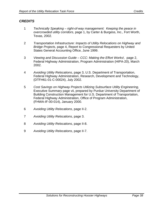# *CREDITS*

- 1 *Technically Speaking right-of-way management: Keeping the peace in overcrowded utility corridors*, page 1, by Carter & Burgess, Inc., Fort Worth, Texas, 2002.
- 2 *Transportation Infrastructure: Impacts of Utility Relocations on Highway and Bridge Projects*, page 4, Report to Congressional Requesters by United States General Accounting Office, June 1999.
- 3 *Viewing and Discussion Guide CCC: Making the Effort Works!,* page 2, Federal Highway Administration, Program Administration (HIPA-20), March 2002.
- 4 *Avoiding Utility Relocations*, page 3, U.S. Department of Transportation, Federal Highway Administration, Research, Development and Technology, (DTFH61-01-C-00024), July 2002.
- 5 *Cost Savings on Highway Projects Utilizing Subsurface Utility Engineering*, Executive Summary page vii, prepared by Purdue University Department of Building Construction Management for U.S. Department of Transportation, Federal Highway Administration, Office of Program Administration, (FHWA-IF-00-014), January 2000.
- 6 *Avoiding Utility Relocations*, page II-2.
- 7 *Avoiding Utility Relocations*, page 3.
- 8 *Avoiding Utility Relocations*, page II-8.
- 9 *Avoiding Utility Relocations*, page II-7.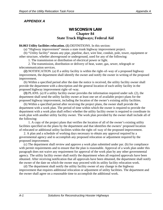# *APPENDIX A*

# **WISCONSIN LAW Chapter 84 State Truck Highways; Federal Aid**

#### **84.063 Utility facilities relocation. (1)** DEFINITIONS. In this section:

(a) "Highway improvement" means a state trunk highway improvement project.

(b) "Utility facility" means any pipe, pipeline, duct, wire line, conduit, pole, tower, equipment or other structure, whether aboveground or underground, used for any of the following:

1. The transmission or distribution of electrical power or light.

2. The transmission, distribution or delivery of heat, water, gas, sewer, telegraph or telecommunication services.

**(2)** NOTIFICATION. (a) If a utility facility is within the right–of–way of a proposed highway improvement, the department shall identify the owner and notify the owner in writing of the proposed improvement.

(b) Within a specified period after the date the notice is received, the utility facility owner shall provide the department with a description and the general location of each utility facility in the proposed highway improvement right–of–way.

**(3)** PLANS. (a) If a utility facility owner provides the information required under sub. (2), the department shall send the utility facility owner at least one set of available project plans for the proposed highway improvement, including the location of the owner's existing utility facilities.

(b) Within a specified period after receiving the project plans, the owner shall provide the department with a work plan. The period of time within which the owner is required to provide the department with a work plan shall reflect whether the utility facility owner is required to coordinate its work plan with another utility facility owner. The work plan provided by the owner shall include all of the following:

1. A copy of the project plans that verifies the location of all of the owner's existing utility facilities specified on the plans by the department and that identifies the owners' proposed location of relocated or additional utility facilities within the right–of–way of the proposed improvement.

2. A plan and a schedule of working days necessary to obtain any approval required by a governmental agency and to accomplish any proposed relocation or adjustment required by the proposed improvement.

(c) The department shall review and approve a work plan submitted under par. (b) for compliance with permit requirements and to ensure that the plan is reasonable. Approval of a work plan under this paragraph does not waive any requirement for approval of the work plan by any other governmental agency. The utility facility owner shall notify the department when all required approvals have been obtained. After receiving notification that all approvals have been obtained, the department shall notify the owner of the date on which the owner may proceed with its utility facility relocation work.

(d) The department shall notify the utility facility owner of any change in the highway improvement that requires additional relocation or adjustment of utility facilities. The department and the owner shall agree on a reasonable time to accomplish the additional work.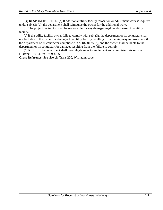**(4)** RESPONSIBILITIES. (a) If additional utility facility relocation or adjustment work is required under sub. (3) (d), the department shall reimburse the owner for the additional work.

(b) The project contractor shall be responsible for any damages negligently caused to a utility facility.

(c) If the utility facility owner fails to comply with sub. (3), the department or its contractor shall not be liable to the owner for damages to a utility facility resulting from the highway improvement if the department or its contractor complies with s. 182.0175 (2), and the owner shall be liable to the department or its contractor for damages resulting from the failure to comply.

**(5)** RULES. The department shall promulgate rules to implement and administer this section. **History:** 1991 a. 39; 1999 a. 85.

**Cross Reference:** See also ch. Trans 220, Wis. adm. code.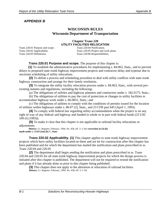# *APPENDIX B*

# **WISCONSIN RULES Wisconsin Department of Transportation**

# **Chapter Trans 220 UTILITY FACILITIES RELOCATION**

Trans 220.01 Purpose and scope. Trans 220.04 Notification. Trans 220.03 Definitions. Trans 220.06 Responsibilities.

Trans 220.02 Applicability. Trans 220.05 Project and work plans.

# **Trans 220.01 Purpose and scope.** The purpose of this chapter is:

**(1)** To establish the administrative procedures for implementing s. 84.063, Stats., and to prevent delays to proposed state trunk highway improvement projects and contractor delay and expense due to uncertain scheduling of utility relocations.

**(2)** To define a process and scheduling procedure to deal with utility conflicts with state trunk highway construction and arrange for their timely resolution.

**(3)** To integrate the utility facility relocation process under s. 84.063, Stats., with several pre– existing statutes and regulations, including the following:

(a) The obligations of utilities and highway planners and contractors under s. 182.0175, Stats.;

(b) The obligations of utilities to pay the cost of protection or changes to utility facilities to accommodate highway work under s. 66.0831, Stats.; and

(c) The obligations of utilities to comply with the conditions of permits issued for the location of utilities within highways under s. 86.07 (2), Stats., and 23 CFR part 645 (April 1, 1993).

**(4)** To comply with federal law regarding utility accommodation when the project is on any right of way of any federal–aid highway and funded in whole or in part with federal funds (23 USC 109 (l) (1993)).

**(5)** To make it clear that this chapter is not applicable to railroad facility relocations or adjustments.

**History:** Cr. Register, February, 1994, No. 458, eff. 3–1–94; **correction in (3) (b) made under s. 13.93 (2m) (b) 7., Stats**.

**Trans 220.02 Applicability. (1)** This chapter applies to state trunk highway improvement projects which have utility facilities located on them and are let for construction after this chapter has been published and for which the department has mailed the notification and plans prescribed in ss. Trans 220.04 and 220.05

**(2)** The department shall begin sending the notification and plans prescribed in ss. Trans 220.04 and 220.05 for all state trunk highway improvement projects for which the design process is initiated after this chapter is published. The department will not be required to resend the notification and plans if it has already done so prior to this chapter being published.

**(3)** This chapter does not apply to the alteration or relocation of railroad facilities. **History:** Cr. Register, February, 1994, No. 458, eff. 3–1–94.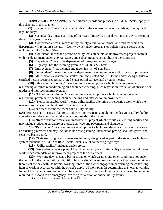**Trans 220.03 Definitions.** The definition of words and phrases in s. 84.063, Stats., apply to this chapter. In this chapter:

**(1)** "Business day" means any calendar day of the year exclusive of Saturdays, Sundays and legal holidays.

**(2)** "Calendar day" means any day of the year; if more than one day, it means any consecutive days of any year or years.

**(3)** "Compensable work" means utility facility alteration or relocation work for which the department will reimburse the utility facility owner under programs or policies of the department, including s. 84.295 (4m), Stats.

**(4)** "Contractor" means the person or entity that enters into an improvement project contract with the department under s. 84.06, Stats., and subcontractors or suppliers to the contractor.

**(5)** "Department" means the department of transportation or its agent.

**(6)** "Highway" has the meaning given in s. 340.01 (22), Stats.

**(7)** "Improvement" has the meaning given in s. 84.06 (1), Stats.

**(8)** "Letting date" means the date the department receives and opens bids for an improvement.

**(9)** "Mail" means a written transmittal, currently dated and sent to the addressee by regular or certified, return receipt requested United States postal service mail or other means.

**(10)** "Major reconditioning" means an improvement project which includes pavement resurfacing or minor reconditioning plus shoulder widening, ditch restoration, reduction of curvature or grades and intersection improvements.

**(11)** "Minor reconditioning" means an improvement project which includes pavement resurfacing, pavement widening, shoulder paving and intersection improvements.

**(12)** "Noncompensable work" means utility facility alteration or relocation work which the owner must carry out without cost to the department.

**(13)** "Owner" means the owner of a utility facility.

**(14)** "Project plan" means a plan for a highway improvement suitable for the design of utility facility alterations or relocations which the department sends to the owner.

**(15)** "Reconstruction" means an improvement project which rebuilds an existing facility and may include reducing curvature or grades and widening pavement and shoulders.

**16)** "Resurfacing" means an improvement project which provides a new roadway surface on an existing pavement and may include minor base patching, intersection paving, shoulder gravel and selective beam guard.

**(17)** "State trunk highway" means any highway designated as part of the state trunk highway system pursuant to s. 84.02 or 84.29, Stats., exclusive of connecting highways.

**(18)** "Utility facility" includes cable services.

**(19)** "Work plan" means a plan of the owner to carry out utility facility alteration or relocation work to accommodate an improvement project of the department.

**(20)** "Working day" means a business day on which weather and other conditions not under the control of the owner will permit utility facility alteration and relocation work to proceed for at least 8 hours of the day with the normal working force of the owner engaged in performing the controlling item of work in accordance with the owner's approved work plan. In determining the normal working force of the owner, consideration shall be given for any diversion of the owner's working force that is required to respond to an emergency involving restoration of critical utility service.

**History:** Cr. Register, February, 1994, No. 458, eff. 3–1–94.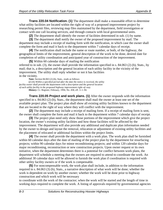**Trans 220.04 Notification. (1)** The department shall make a reasonable effort to determine what utility facilities are located within the right of way of a proposed improvement project by researching permit files, reviewing map files maintained by the department, field investigation or contact with one call locating services, and through contacts with local governmental units.

**(2)** The department shall identify the owner of facilities determined in sub. (1) by name.

**(3)** The department shall notify the owner of the proposed improvement by mail. The department may include a receipt of mailing form with the notification, in which case the owner shall complete the form and mail it back to the department within 7 calendar days of receipt.

**(4)** The notification shall include the name or route number, or both, of the highway, the geographical limits of the improvement, general description of the work to be done, desired date for completion of utility coordination and anticipated year of construction of the improvement.

**(5)** Within 60 calendar days of mailing the notification referred to in sub. (3), the owner shall provide the information specified in s. 84.063 (2) (b), Stats., by mail; that is, a description and the general location of each utility facility in the vicinity of the improvement. The utility shall reply whether or not it has facilities in the vicinity.

**Note:** Section 84.063 (2) (b), Stats., reads as follows:

**(**2) (b) *Within a specified period after the date the notice is received, the utility facility owner shall provide the department with a description and the general location of each utility facility in the proposed highway improvement right–of–way.*  **History:** Cr. Register, February, 1994, No. 458, eff. 3–1–94.

**Trans 220.05 Project and work plans. (1)** After the owner responds with the information specified in s. 84.063 (2) (b), Stats., the department shall mail the owner at least one set of the available project plan. The project plan shall show all existing utility facilities known to the department that are located in the right of way where they will conflict with the improvement.

**(2)** The department may include a receipt of mailing form. If a receipt of mailing form is sent, the owner shall complete the form and mail it back to the department within 7 calendar days of receipt.

**(3)** The project plan need only show those portions of the improvement which give the project location, the owner's existing utility facilities and how those facilities will be affected by the improvement. The department will also provide any additional and duplicate plan information needed by the owner to design and layout the removal, relocation or adjustment of existing utility facilities and the placement of relocated or additional facilities within the project limits.

**(4)** The owner shall provide the department with a work plan. The work plan shall be furnished within 60 calendar days after the date of mailing of the project plan by the department for resurfacing projects; within 90 calendar days for minor reconditioning projects; and within 120 calendar days for major reconditioning, reconstruction or new construction projects. Upon owner request or its own initiative, when the department determines there is a potential for conflict between work plans, the department will schedule a meeting that the owners are required to attend to coordinate the work. An additional 30 calendar days will be allowed to furnish the work plan if coordination is required with other utility facility owners or if the work is compensable.

**(5)** For noncompensable work, the work plan shall include, in addition to the information required in s. 84.063 (3) (b), Stats., a narrative description of what work will be done; whether the work is dependent on work by another owner; whether the work will be done prior to highway construction and which work will be necessary

to coordinate with the work of the contractor; when the work will be started and the length of time in working days required to complete the work. A listing of approvals required by governmental agencies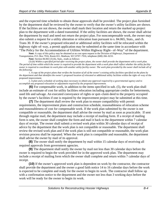and the expected time schedule to obtain those approvals shall be provided. The project plan furnished by the department shall be reviewed by the owner to verify that the owner's utility facilities are shown. If the facilities are not shown, the owner shall mark their location and return the marked up project plan to the department with a dated transmittal. If the utility facilities are shown, the owner shall advise the department by mail and need not return the project plan. For noncompensable work, the owner may also submit a request for a utility alteration or relocation loan pursuant to s. 84.065, Stats., and ch. Trans 30. If the owner's proposed relocated or additional utility facilities will be relocated within the highway right–of–way, a permit application may be submitted at the same time in accordance with "The Policy for the Accommodation of Utilities Within Highway Right– of–Way" of the department.

**Note:** A copy of this policy may be obtained at no cost upon request to the Division of Highways, Department of Transportation, P.O. Box 7916, Room 651, Madison, WI 53707–7916, telephone (608) 266–0233.

**Note:** Section 84.063 (3) (b), Stats., reads as follows:

(3) (b) *Within a specified period after receiving the project plans, the owner shall provide the department with a work plan. The period of time within which the owner is required to provide the department with a work plan shall reflect whether the utility facility owner is required to coordinate its work plan with another utility facility owner. The work plan provided by the owner shall include all of the following:* 

1. *A copy of the project plans that verifies the location of all of the owner's existing utility facilities specified on the plans by the department and that identifies the owner's proposed location of relocated* or additional utility facilities within the right–of–way of the proposed improvement.

2. *A plan and a schedule of working days necessary to obtain any approval required by a governmental agency and to accomplish any proposed relocation or adjustment required by the proposed improvement.* 

**(6)** For compensable work, in addition to the items specified in sub. (5), the work plan shall include an estimate of cost for utility facilities relocation including appropriate credits for betterments, used life and salvage. An executed conveyance of rights or quit–claim deed to the property occupied by the owner's facilities if one is required by the improvement project may be submitted at this time.

**(7)** The department shall review the work plan to ensure compatibility with permit requirements, the improvement plans and construction schedule, reasonableness of relocation scheme and reasonableness of cost for compensable work. If the work plan submitted by the owner is not compatible or reasonable, the department shall advise the owner by mail as soon as practicable. If sent through regular mail, the department may include a receipt of mailing form. If a receipt of mailing form is sent, the owner shall complete the form and mail it back to the department within 7 calendar days of receipt. The owner shall submit a revised work plan within 30 calendar days of receipt of advice by the department that the work plan is not compatible or reasonable. The department shall review the revised work plan and if the work plan is still not compatible or reasonable, the work plan revision process shall be repeated. When the work plan is compatible and reasonable, the department shall advise the owner by mail of its approval.

**(8)** The owner shall notify the department by mail within 15 calendar days of receiving all required approvals from government agencies.

**(9)** The department shall notify the owner by mail not less than 30 calendar days before the owner is required to begin the work provided for in the approved work plan. The department may include a receipt of mailing form which the owner shall complete and return within 7 calendar days of receipt.

**(10)** If the owner's approved work plan is dependent on work by the contractor, the contractor shall provide the department and the owner a good faith notice 14 to 16 calendar days before the work is expected to be complete and ready for the owner to begin its work. The contractor shall follow up with a confirmation notice to the department and the owner not less than 3 working days before the work will be ready for the owner to begin its work.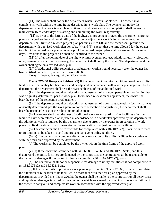**(11)** The owner shall notify the department when its work has started. The owner shall complete its work within the time frame described in its work plan. The owner shall notify the department when the work is complete. Notices of work start and work completion shall be sent by mail within 15 calendar days of starting and completing the work, respectively.

 **(12)** If, prior to the letting date of the highway improvement project, the department's project plan is changed so that additional utility relocation or adjustment work is found necessary, the department shall furnish a revised project plan per subs. (1) to (3), and the owner shall provide the department with a revised work plan per subs. (4) and (5), except that the time allowed for the owner to submit the revised work plan after receipt of the revised project plan shall not exceed 60 calendar days. Revisions to the project plan shall be identified to the owner.

**(13)** If, after the letting date of the highway improvement project, additional utility relocation or adjustment work is found necessary, the department shall notify the owner. The department and the owner shall agree on a revised work plan.

**(14)** If additional utility relocation or adjustment work is found necessary after the owner has been notified per sub. (9), refer to s. Trans 220.06.

**History:** Cr. Register, February, 1994, No. 458, eff. 3–1–94.

**Trans 220.06 Responsibilities. (1)** If the department requires additional work to a utility facility after the facility has been relocated or adjusted in accordance with a work plan approved by the department, the department shall bear the reasonable cost of the additional work.

**(2)** If the department requires relocation or adjustment of a noncompensable utility facility that was originally determined, per the work plan, to not need relocation or adjustment, the owner shall bear the cost of the relocation or adjustment.

**(3)** If the department requires relocation or adjustment of a compensable utility facility that was originally determined, per the work plan, to not need relocation or adjustment, the department shall bear the reasonable cost of the relocation or adjustment.

**(4)** The owner shall bear the cost of additional work to any portion of its facilities after the facilities have been relocated or adjusted in accordance with a work plan approved by the department if the additional work is required by the department due to error by the owner in preparation of work plans for, field location of, or construction of the relocation or adjustment of its facilities.

**(5)** The contractor shall be responsible for compliance with s.182.0175 (2), Stats., with respect to precautions to be taken to avoid and prevent damage to utility facilities.

**(6)** (a) The owner shall complete alteration or relocation of its utility facilities in accordance with the work plan approved by the department.

(b) The work shall be completed by the owner within the time frame of the approved work plan.

**(7)** (a) If the owner has complied with ss. 66.0831, 84.063 and 182.0175, Stats., and this chapter and the utility facilities are damaged by the contractor, the contractor shall be responsible to the owner for damages if the contractor has not complied with s.182.0175 (2), Stats.

(b) The contractor shall not be responsible for damage to utility facilities if it has complied with ss. 182.0175 (2) and 66.0831, Stats.

(c) If the owner fails to provide a work plan as provided in s.Trans 220.05, or fails to complete the alteration or relocation of its facilities in accordance with the work plan approved by the department as provided in s. Trans 220.05, the owner shall be liable to the contractor for all delay costs and liquidated damages incurred by the contractor which are caused by or which grow out of failure of the owner to carry out and complete its work in accordance with the approved work plan.

.